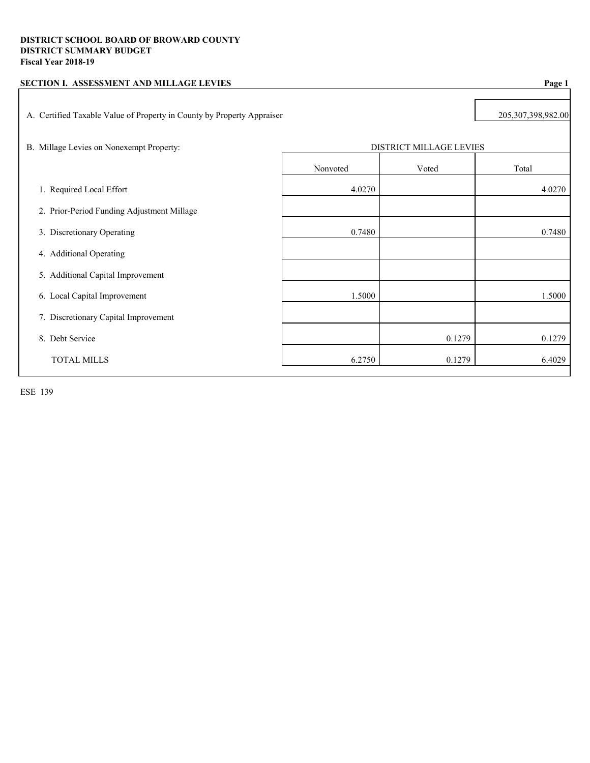| SECTION I. ASSESSMENT AND MILLAGE LEVIES                               |                                |        | Page 1 |
|------------------------------------------------------------------------|--------------------------------|--------|--------|
| A. Certified Taxable Value of Property in County by Property Appraiser | 205,307,398,982.00             |        |        |
| B. Millage Levies on Nonexempt Property:                               | <b>DISTRICT MILLAGE LEVIES</b> |        |        |
|                                                                        | Nonvoted                       | Voted  | Total  |
| 1. Required Local Effort                                               | 4.0270                         |        | 4.0270 |
| 2. Prior-Period Funding Adjustment Millage                             |                                |        |        |
| 3. Discretionary Operating                                             | 0.7480                         |        | 0.7480 |
| 4. Additional Operating                                                |                                |        |        |
| 5. Additional Capital Improvement                                      |                                |        |        |
| 6. Local Capital Improvement                                           | 1.5000                         |        | 1.5000 |
| 7. Discretionary Capital Improvement                                   |                                |        |        |
| 8. Debt Service                                                        |                                | 0.1279 | 0.1279 |
| <b>TOTAL MILLS</b>                                                     | 6.2750                         | 0.1279 | 6.4029 |
|                                                                        |                                |        |        |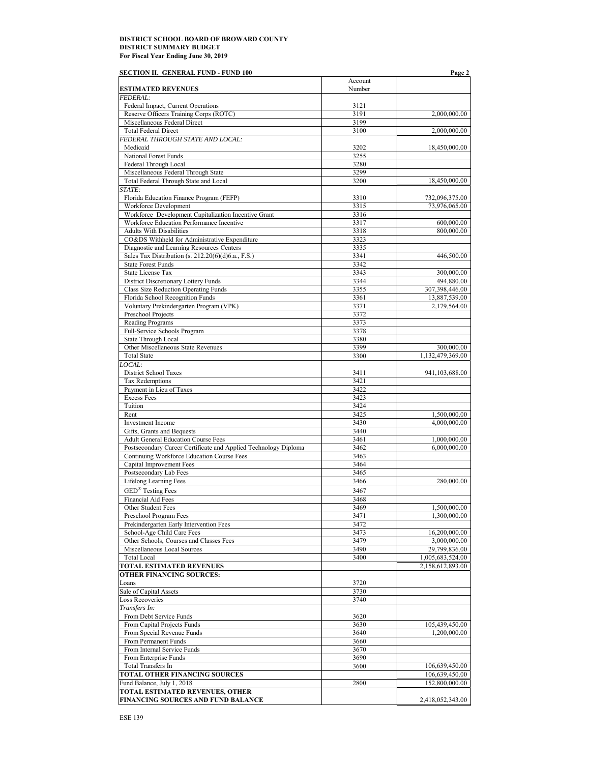| <b>SECTION II. GENERAL FUND - FUND 100</b>                                                        |              | Page 2                        |
|---------------------------------------------------------------------------------------------------|--------------|-------------------------------|
|                                                                                                   | Account      |                               |
| <b>ESTIMATED REVENUES</b>                                                                         | Number       |                               |
| <b>FEDERAL:</b>                                                                                   |              |                               |
| Federal Impact, Current Operations<br>Reserve Officers Training Corps (ROTC)                      | 3121<br>3191 | 2,000,000.00                  |
| Miscellaneous Federal Direct                                                                      | 3199         |                               |
| <b>Total Federal Direct</b>                                                                       | 3100         | 2,000,000.00                  |
| FEDERAL THROUGH STATE AND LOCAL:                                                                  |              |                               |
| Medicaid                                                                                          | 3202         | 18,450,000.00                 |
| National Forest Funds                                                                             | 3255         |                               |
| Federal Through Local                                                                             | 3280         |                               |
| Miscellaneous Federal Through State                                                               | 3299         |                               |
| Total Federal Through State and Local                                                             | 3200         | 18,450,000.00                 |
| STATE:                                                                                            |              |                               |
| Florida Education Finance Program (FEFP)                                                          | 3310         | 732,096,375.00                |
| Workforce Development                                                                             | 3315         | 73,976,065.00                 |
| Workforce Development Capitalization Incentive Grant<br>Workforce Education Performance Incentive | 3316         |                               |
| <b>Adults With Disabilities</b>                                                                   | 3317<br>3318 | 600,000.00<br>800,000.00      |
| CO&DS Withheld for Administrative Expenditure                                                     | 3323         |                               |
| Diagnostic and Learning Resources Centers                                                         | 3335         |                               |
| Sales Tax Distribution (s. 212.20(6)(d)6.a., F.S.)                                                | 3341         | 446,500.00                    |
| <b>State Forest Funds</b>                                                                         | 3342         |                               |
| <b>State License Tax</b>                                                                          | 3343         | 300,000.00                    |
| District Discretionary Lottery Funds                                                              | 3344         | 494,880.00                    |
| Class Size Reduction Operating Funds                                                              | 3355         | 307,398,446.00                |
| Florida School Recognition Funds                                                                  | 3361         | 13,887,539.00                 |
| Voluntary Prekindergarten Program (VPK)                                                           | 3371         | 2,179,564.00                  |
| Preschool Projects                                                                                | 3372         |                               |
| <b>Reading Programs</b>                                                                           | 3373         |                               |
| Full-Service Schools Program                                                                      | 3378         |                               |
| State Through Local                                                                               | 3380         |                               |
| Other Miscellaneous State Revenues                                                                | 3399         | 300,000.00                    |
| <b>Total State</b>                                                                                | 3300         | 1,132,479,369.00              |
| LOCAL:                                                                                            |              |                               |
| District School Taxes<br><b>Tax Redemptions</b>                                                   | 3411<br>3421 | 941, 103, 688. 00             |
| Payment in Lieu of Taxes                                                                          | 3422         |                               |
| <b>Excess Fees</b>                                                                                | 3423         |                               |
| Tuition                                                                                           | 3424         |                               |
| Rent                                                                                              | 3425         | 1,500,000.00                  |
| Investment Income                                                                                 | 3430         | 4,000,000.00                  |
| Gifts, Grants and Bequests                                                                        | 3440         |                               |
| <b>Adult General Education Course Fees</b>                                                        | 3461         | 1,000,000.00                  |
| Postsecondary Career Certificate and Applied Technology Diploma                                   | 3462         | 6,000,000.00                  |
| Continuing Workforce Education Course Fees                                                        | 3463         |                               |
| Capital Improvement Fees                                                                          | 3464         |                               |
| Postsecondary Lab Fees                                                                            | 3465         |                               |
| Lifelong Learning Fees                                                                            | 3466         | 280,000.00                    |
| <b>GED®</b> Testing Fees                                                                          | 3467         |                               |
| Financial Aid Fees                                                                                | 3468         |                               |
| Other Student Fees                                                                                | 3469         | 1,500,000.00                  |
| Preschool Program Fees                                                                            | 3471         | 1,300,000.00                  |
| Prekindergarten Early Intervention Fees                                                           | 3472         |                               |
| School-Age Child Care Fees                                                                        | 3473         | 16,200,000.00                 |
| Other Schools, Courses and Classes Fees<br>Miscellaneous Local Sources                            | 3479<br>3490 | 3,000,000.00<br>29,799,836.00 |
| <b>Total Local</b>                                                                                | 3400         | 1,005,683,524.00              |
| TOTAL ESTIMATED REVENUES                                                                          |              | 2,158,612,893.00              |
| <b>OTHER FINANCING SOURCES:</b>                                                                   |              |                               |
| Loans                                                                                             | 3720         |                               |
| Sale of Capital Assets                                                                            | 3730         |                               |
| <b>Loss Recoveries</b>                                                                            | 3740         |                               |
| Transfers In:                                                                                     |              |                               |
| From Debt Service Funds                                                                           | 3620         |                               |
| From Capital Projects Funds                                                                       | 3630         | 105,439,450.00                |
| From Special Revenue Funds                                                                        | 3640         | 1,200,000.00                  |
| From Permanent Funds                                                                              | 3660         |                               |
| From Internal Service Funds                                                                       | 3670         |                               |
| From Enterprise Funds                                                                             | 3690         |                               |
| Total Transfers In                                                                                | 3600         | 106,639,450.00                |
| <b>TOTAL OTHER FINANCING SOURCES</b>                                                              |              | 106,639,450.00                |
| Fund Balance, July 1, 2018                                                                        | 2800         | 152,800,000.00                |
| <b>TOTAL ESTIMATED REVENUES, OTHER</b><br>FINANCING SOURCES AND FUND BALANCE                      |              | 2,418,052,343.00              |
|                                                                                                   |              |                               |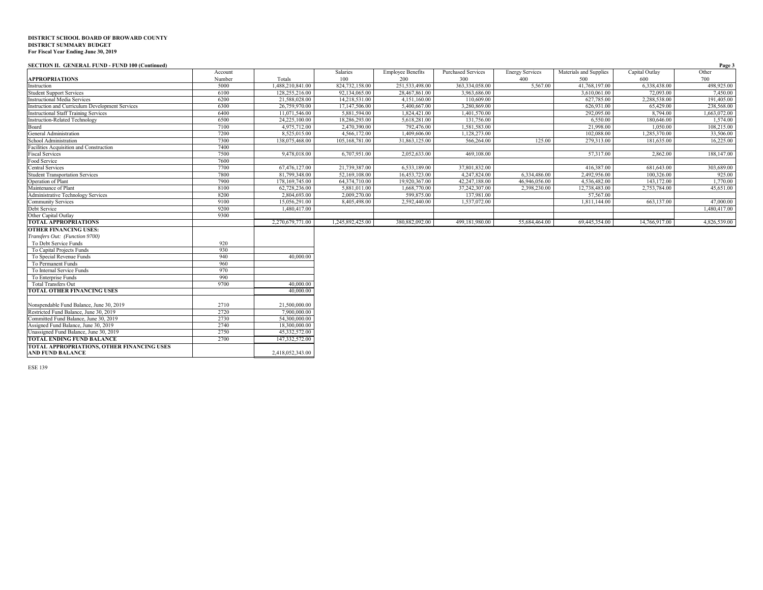#### **SECTION II. GENERAL FUND - FUND 100 (Continued) Page 3**

|                                                        | Account |                  | Salaries         | <b>Employee Benefits</b> | <b>Purchased Services</b> | <b>Energy Services</b> | Materials and Supplies | Capital Outlay | Other        |
|--------------------------------------------------------|---------|------------------|------------------|--------------------------|---------------------------|------------------------|------------------------|----------------|--------------|
| <b>APPROPRIATIONS</b>                                  | Number  | Totals           | 100              | 200                      | 300                       | 400                    | 500                    | 600            | 700          |
| Instruction                                            | 5000    | 1,488,210,841.00 | 824,732,158.00   | 251,533,498.00           | 363,334,058.00            | 5,567.00               | 41,768,197.00          | 6,338,438.00   | 498,925.00   |
| <b>Student Support Services</b>                        | 6100    | 128,255,216.00   | 92,134,065.00    | 28,467,861.00            | 3,963,686.00              |                        | 3,610,061.00           | 72,093.00      | 7,450.00     |
| <b>Instructional Media Services</b>                    | 6200    | 21,588,028,00    | 14,218,531.00    | 4,151,160.00             | 110,609.00                |                        | 627,785.00             | 2,288,538.00   | 191,405.00   |
| <b>Instruction and Curriculum Development Services</b> | 6300    | 26,759,970.00    | 17,147,506.00    | 5,400,667.00             | 3,280,869.00              |                        | 626,931.00             | 65,429.00      | 238,568.00   |
| <b>Instructional Staff Training Services</b>           | 6400    | 11,071,546.00    | 5,881,594.00     | 1,824,421.00             | 1,401,570.00              |                        | 292,095.00             | 8,794.00       | 1,663,072.00 |
| <b>Instruction-Related Technology</b>                  | 6500    | 24,225,100.00    | 18,286,293.00    | 5,618,281.00             | 131,756.00                |                        | 6,550.00               | 180,646.00     | 1,574.00     |
| Board                                                  | 7100    | 4,975,712.00     | 2,470,390.00     | 792,476.00               | 1,581,583.00              |                        | 21,998.00              | 1.050.00       | 108,215.00   |
| General Administration                                 | 7200    | 8,525,015.00     | 4,566,172.00     | 1,409,606.00             | 1,128,273.00              |                        | 102,088.00             | 1,285,370.00   | 33,506.00    |
| School Administration                                  | 7300    | 138,075,468.00   | 105,168,781.00   | 31,863,125.00            | 566,264.00                | 125.00                 | 279,313.00             | 181,635.00     | 16,225.00    |
| Facilities Acquisition and Construction                | 7400    |                  |                  |                          |                           |                        |                        |                |              |
| <b>Fiscal Services</b>                                 | 7500    | 9,478,018.00     | 6,707,951.00     | 2.052.633.00             | 469,108.00                |                        | 57,317.00              | 2,862.00       | 188,147.00   |
| Food Service                                           | 7600    |                  |                  |                          |                           |                        |                        |                |              |
| Central Services                                       | 7700    | 67,476,127.00    | 21,739,387.00    | 6,533,189.00             | 37,801,832.00             |                        | 416,387.00             | 681,643.00     | 303,689.00   |
| <b>Student Transportation Services</b>                 | 7800    | 81,799,348.00    | 52,169,108.00    | 16,453,723.00            | 4,247,824.00              | 6,334,486.00           | 2,492,956.00           | 100,326.00     | 925.00       |
| Operation of Plant                                     | 7900    | 178,169,745.00   | 64,374,710.00    | 19,920,367.00            | 42.247.188.00             | 46,946,056.00          | 4,536,482.00           | 143,172.00     | 1,770.00     |
| Maintenance of Plant                                   | 8100    | 62,728,236.00    | 5,881,011.00     | 1,668,770.00             | 37,242,307.00             | 2,398,230.00           | 12,738,483.00          | 2,753,784.00   | 45,651.00    |
| Administrative Technology Services                     | 8200    | 2,804,693.00     | 2,009,270.00     | 599,875.00               | 137,981.00                |                        | 57,567.00              |                |              |
| <b>Community Services</b>                              | 9100    | 15,056,291.00    | 8,405,498.00     | 2,592,440.00             | 1,537,072.00              |                        | 1.811.144.00           | 663,137.00     | 47,000.00    |
| Debt Service                                           | 9200    | 1,480,417.00     |                  |                          |                           |                        |                        |                | 1,480,417.00 |
| Other Capital Outlay                                   | 9300    |                  |                  |                          |                           |                        |                        |                |              |
| <b>TOTAL APPROPRIATIONS</b>                            |         | 2,270,679,771.00 | 1,245,892,425.00 | 380,882,092.00           | 499,181,980.00            | 55,684,464.00          | 69,445,354.00          | 14,766,917.00  | 4,826,539.00 |
| <b>OTHER FINANCING USES:</b>                           |         |                  |                  |                          |                           |                        |                        |                |              |
| Transfers Out: (Function 9700)                         |         |                  |                  |                          |                           |                        |                        |                |              |
| To Debt Service Funds                                  | 920     |                  |                  |                          |                           |                        |                        |                |              |
| To Capital Projects Funds                              | 930     |                  |                  |                          |                           |                        |                        |                |              |
| To Special Revenue Funds                               | 940     | 40,000.00        |                  |                          |                           |                        |                        |                |              |
| To Permanent Funds                                     | 960     |                  |                  |                          |                           |                        |                        |                |              |
| To Internal Service Funds                              | 970     |                  |                  |                          |                           |                        |                        |                |              |
| To Enterprise Funds                                    | 990     |                  |                  |                          |                           |                        |                        |                |              |
| <b>Total Transfers Out</b>                             | 9700    | 40,000.00        |                  |                          |                           |                        |                        |                |              |
| TOTAL OTHER FINANCING USES                             |         | 40,000.00        |                  |                          |                           |                        |                        |                |              |
| Nonspendable Fund Balance, June 30, 2019               | 2710    | 21,500,000.00    |                  |                          |                           |                        |                        |                |              |
| Restricted Fund Balance, June 30, 2019                 | 2720    | 7,900,000.00     |                  |                          |                           |                        |                        |                |              |
| Committed Fund Balance, June 30, 2019                  | 2730    | 54,300,000.00    |                  |                          |                           |                        |                        |                |              |
| Assigned Fund Balance, June 30, 2019                   | 2740    | 18,300,000.00    |                  |                          |                           |                        |                        |                |              |
| Unassigned Fund Balance, June 30, 2019                 | 2750    | 45,332,572.00    |                  |                          |                           |                        |                        |                |              |
| <b>TOTAL ENDING FUND BALANCE</b>                       | 2700    | 147,332,572.00   |                  |                          |                           |                        |                        |                |              |

2700 147,332,572.00

**TOTAL APPROPRIATIONS, OTHER FINANCING USES AND FUND BALANCE** 2,418,052,343.00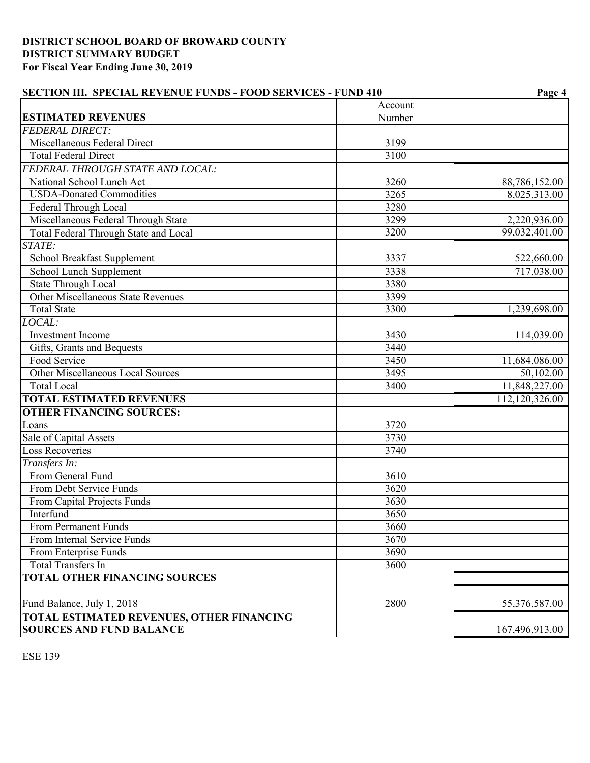| <b>SECTION III. SPECIAL REVENUE FUNDS - FOOD SERVICES - FUND 410</b> |         | Page 4         |
|----------------------------------------------------------------------|---------|----------------|
|                                                                      | Account |                |
| <b>ESTIMATED REVENUES</b>                                            | Number  |                |
| <b>FEDERAL DIRECT:</b>                                               |         |                |
| Miscellaneous Federal Direct                                         | 3199    |                |
| <b>Total Federal Direct</b>                                          | 3100    |                |
| FEDERAL THROUGH STATE AND LOCAL:                                     |         |                |
| National School Lunch Act                                            | 3260    | 88,786,152.00  |
| <b>USDA-Donated Commodities</b>                                      | 3265    | 8,025,313.00   |
| Federal Through Local                                                | 3280    |                |
| Miscellaneous Federal Through State                                  | 3299    | 2,220,936.00   |
| Total Federal Through State and Local                                | 3200    | 99,032,401.00  |
| STATE:                                                               |         |                |
| School Breakfast Supplement                                          | 3337    | 522,660.00     |
| School Lunch Supplement                                              | 3338    | 717,038.00     |
| <b>State Through Local</b>                                           | 3380    |                |
| Other Miscellaneous State Revenues                                   | 3399    |                |
| <b>Total State</b>                                                   | 3300    | 1,239,698.00   |
| LOCAL:                                                               |         |                |
| <b>Investment</b> Income                                             | 3430    | 114,039.00     |
| Gifts, Grants and Bequests                                           | 3440    |                |
| Food Service                                                         | 3450    | 11,684,086.00  |
| Other Miscellaneous Local Sources                                    | 3495    | 50,102.00      |
| <b>Total Local</b>                                                   | 3400    | 11,848,227.00  |
| <b>TOTAL ESTIMATED REVENUES</b>                                      |         | 112,120,326.00 |
| <b>OTHER FINANCING SOURCES:</b>                                      |         |                |
| Loans                                                                | 3720    |                |
| Sale of Capital Assets                                               | 3730    |                |
| <b>Loss Recoveries</b>                                               | 3740    |                |
| Transfers In:                                                        |         |                |
| From General Fund                                                    | 3610    |                |
| From Debt Service Funds                                              | 3620    |                |
| From Capital Projects Funds                                          | 3630    |                |
| Interfund                                                            | 3650    |                |
| From Permanent Funds                                                 | 3660    |                |
| From Internal Service Funds                                          | 3670    |                |
| From Enterprise Funds                                                | 3690    |                |
| <b>Total Transfers In</b>                                            | 3600    |                |
| <b>TOTAL OTHER FINANCING SOURCES</b>                                 |         |                |
|                                                                      |         |                |
| Fund Balance, July 1, 2018                                           | 2800    | 55,376,587.00  |
| <b>TOTAL ESTIMATED REVENUES, OTHER FINANCING</b>                     |         |                |
| <b>SOURCES AND FUND BALANCE</b>                                      |         | 167,496,913.00 |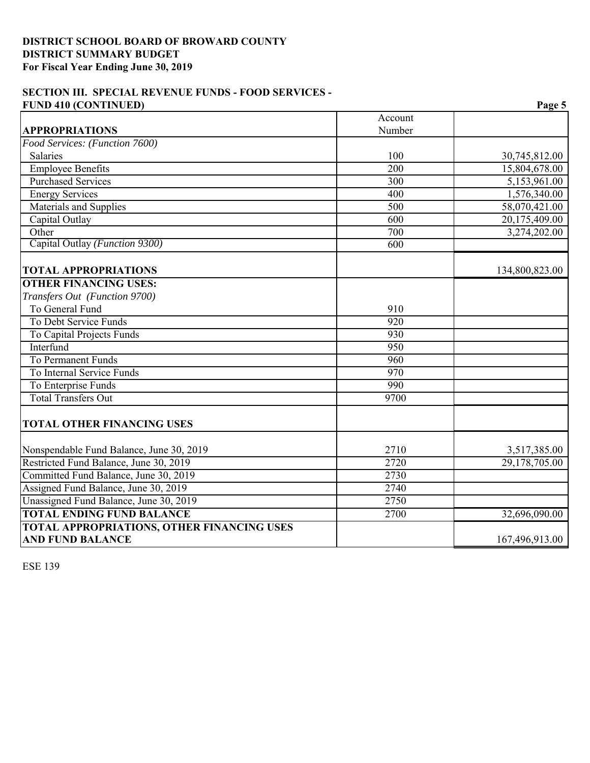# **SECTION III. SPECIAL REVENUE FUNDS - FOOD SERVICES - FUND 410 (CONTINUED) Page 5**

|                                                   | Account          |                |
|---------------------------------------------------|------------------|----------------|
| <b>APPROPRIATIONS</b>                             | Number           |                |
| Food Services: (Function 7600)                    |                  |                |
| <b>Salaries</b>                                   | 100              | 30,745,812.00  |
| <b>Employee Benefits</b>                          | 200              | 15,804,678.00  |
| <b>Purchased Services</b>                         | 300              | 5,153,961.00   |
| <b>Energy Services</b>                            | 400              | 1,576,340.00   |
| <b>Materials and Supplies</b>                     | $\overline{500}$ | 58,070,421.00  |
| Capital Outlay                                    | 600              | 20,175,409.00  |
| Other                                             | 700              | 3,274,202.00   |
| Capital Outlay (Function 9300)                    | $\overline{600}$ |                |
| <b>TOTAL APPROPRIATIONS</b>                       |                  | 134,800,823.00 |
| <b>OTHER FINANCING USES:</b>                      |                  |                |
| Transfers Out (Function 9700)                     |                  |                |
| To General Fund                                   | 910              |                |
| To Debt Service Funds                             | $\overline{920}$ |                |
| To Capital Projects Funds                         | 930              |                |
| Interfund                                         | 950              |                |
| To Permanent Funds                                | 960              |                |
| To Internal Service Funds                         | 970              |                |
| To Enterprise Funds                               | 990              |                |
| <b>Total Transfers Out</b>                        | 9700             |                |
| <b>TOTAL OTHER FINANCING USES</b>                 |                  |                |
| Nonspendable Fund Balance, June 30, 2019          | 2710             | 3,517,385.00   |
| Restricted Fund Balance, June 30, 2019            | 2720             | 29,178,705.00  |
| Committed Fund Balance, June 30, 2019             | 2730             |                |
| Assigned Fund Balance, June 30, 2019              | 2740             |                |
| Unassigned Fund Balance, June 30, 2019            | 2750             |                |
| <b>TOTAL ENDING FUND BALANCE</b>                  | 2700             | 32,696,090.00  |
| <b>TOTAL APPROPRIATIONS, OTHER FINANCING USES</b> |                  |                |
| <b>AND FUND BALANCE</b>                           |                  | 167,496,913.00 |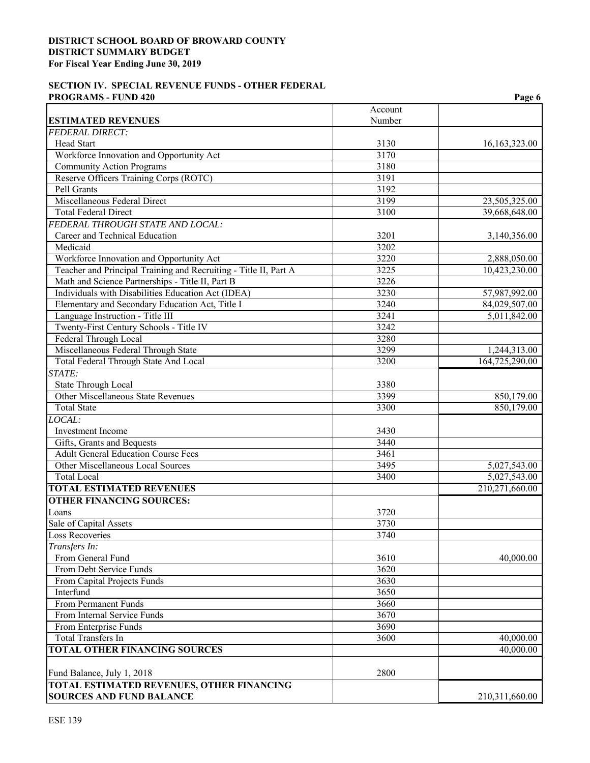## **SECTION IV. SPECIAL REVENUE FUNDS - OTHER FEDERAL PROGRAMS - FUND 420** Page 6

|                                                                  |                   | 1 agu v                        |
|------------------------------------------------------------------|-------------------|--------------------------------|
| <b>ESTIMATED REVENUES</b>                                        | Account<br>Number |                                |
| <b>FEDERAL DIRECT:</b>                                           |                   |                                |
| Head Start                                                       | 3130              | 16,163,323.00                  |
| Workforce Innovation and Opportunity Act                         | 3170              |                                |
| <b>Community Action Programs</b>                                 | 3180              |                                |
| Reserve Officers Training Corps (ROTC)                           | 3191              |                                |
| Pell Grants                                                      | 3192              |                                |
| Miscellaneous Federal Direct                                     | 3199              | 23,505,325.00                  |
| <b>Total Federal Direct</b>                                      | 3100              | 39,668,648.00                  |
| FEDERAL THROUGH STATE AND LOCAL:                                 |                   |                                |
| Career and Technical Education                                   | 3201              | 3,140,356.00                   |
| Medicaid                                                         | 3202              |                                |
| Workforce Innovation and Opportunity Act                         | 3220              | 2,888,050.00                   |
| Teacher and Principal Training and Recruiting - Title II, Part A | 3225              | 10,423,230.00                  |
| Math and Science Partnerships - Title II, Part B                 | 3226              |                                |
| Individuals with Disabilities Education Act (IDEA)               | 3230              | 57,987,992.00                  |
| Elementary and Secondary Education Act, Title I                  | 3240              | 84,029,507.00                  |
| Language Instruction - Title III                                 | 3241              | 5,011,842.00                   |
| Twenty-First Century Schools - Title IV                          | 3242              |                                |
| Federal Through Local                                            | 3280              |                                |
|                                                                  |                   |                                |
| Miscellaneous Federal Through State                              | 3299<br>3200      | 1,244,313.00<br>164,725,290.00 |
| Total Federal Through State And Local                            |                   |                                |
| STATE:                                                           |                   |                                |
| State Through Local                                              | 3380              |                                |
| Other Miscellaneous State Revenues                               | 3399              | 850,179.00                     |
| <b>Total State</b>                                               | 3300              | 850,179.00                     |
| LOCAL:                                                           |                   |                                |
| Investment Income                                                | 3430              |                                |
| Gifts, Grants and Bequests                                       | 3440              |                                |
| <b>Adult General Education Course Fees</b>                       | 3461              |                                |
| Other Miscellaneous Local Sources                                | 3495              | 5,027,543.00                   |
| <b>Total Local</b>                                               | 3400              | 5,027,543.00                   |
| <b>TOTAL ESTIMATED REVENUES</b>                                  |                   | 210,271,660.00                 |
| <b>OTHER FINANCING SOURCES:</b>                                  |                   |                                |
| Loans                                                            | 3720              |                                |
| Sale of Capital Assets                                           | 3730              |                                |
| Loss Recoveries                                                  | 3740              |                                |
| Transfers In:                                                    |                   |                                |
| From General Fund                                                | 3610              | 40,000.00                      |
| From Debt Service Funds                                          | 3620              |                                |
| From Capital Projects Funds                                      | 3630              |                                |
| Interfund                                                        | 3650              |                                |
| From Permanent Funds                                             | 3660              |                                |
| From Internal Service Funds                                      | 3670              |                                |
| From Enterprise Funds                                            | 3690              |                                |
| <b>Total Transfers In</b>                                        | 3600              | 40,000.00                      |
| <b>TOTAL OTHER FINANCING SOURCES</b>                             |                   | 40,000.00                      |
| Fund Balance, July 1, 2018                                       | 2800              |                                |
| TOTAL ESTIMATED REVENUES, OTHER FINANCING                        |                   |                                |
| <b>SOURCES AND FUND BALANCE</b>                                  |                   | 210,311,660.00                 |
|                                                                  |                   |                                |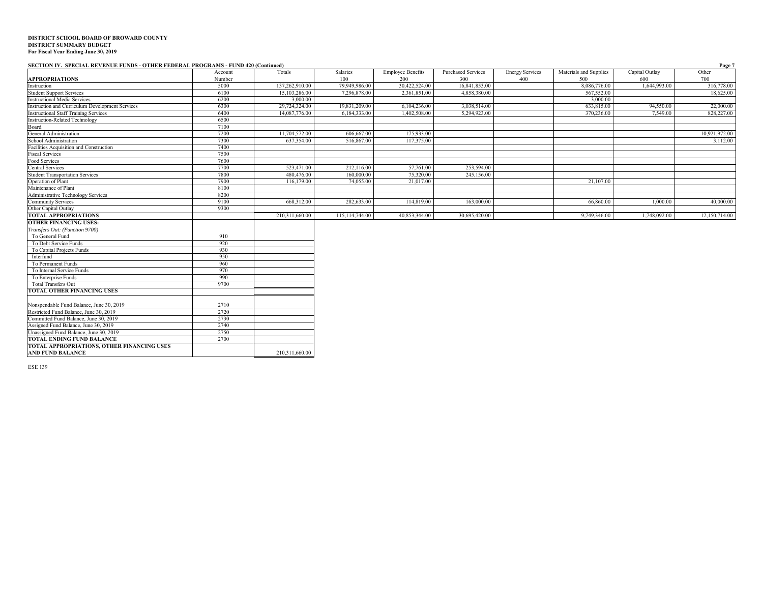#### **SECTION IV. SPECIAL REVENUE FUNDS - OTHER FEDERAL PROGRAMS - FUND 420 (Continued) Page 7**

| $\frac{1}{2}$                                   | Account | Totals         | Salaries       | <b>Employee Benefits</b> | <b>Purchased Services</b> | <b>Energy Services</b> | Materials and Supplies | Capital Outlay | Other         |
|-------------------------------------------------|---------|----------------|----------------|--------------------------|---------------------------|------------------------|------------------------|----------------|---------------|
| <b>APPROPRIATIONS</b>                           | Number  |                | 100            | 200                      | 300                       | 400                    | 500                    | 600            | 700           |
| Instruction                                     | 5000    | 137,262,910.00 | 79,949,986.00  | 30,422,524.00            | 16,841,853.00             |                        | 8,086,776.00           | 1,644,993.00   | 316,778.00    |
| <b>Student Support Services</b>                 | 6100    | 15,103,286.00  | 7,296,878.00   | 2,361,851.00             | 4,858,380.00              |                        | 567,552.00             |                | 18,625.00     |
| <b>Instructional Media Services</b>             | 6200    | 3,000.00       |                |                          |                           |                        | 3,000.00               |                |               |
| Instruction and Curriculum Development Services | 6300    | 29,724,324.00  | 19,831,209.00  | 6,104,236.00             | 3,038,514.00              |                        | 633,815.00             | 94,550.00      | 22,000.00     |
| <b>Instructional Staff Training Services</b>    | 6400    | 14,087,776.00  | 6,184,333.00   | 1,402,508.00             | 5.294,923.00              |                        | 370,236.00             | 7,549.00       | 828,227.00    |
| <b>Instruction-Related Technology</b>           | 6500    |                |                |                          |                           |                        |                        |                |               |
| Board                                           | 7100    |                |                |                          |                           |                        |                        |                |               |
| General Administration                          | 7200    | 11,704,572.00  | 606,667.00     | 175,933.00               |                           |                        |                        |                | 10,921,972.00 |
| School Administration                           | 7300    | 637,354.00     | 516,867.00     | 117,375.00               |                           |                        |                        |                | 3,112.00      |
| Facilities Acquisition and Construction         | 7400    |                |                |                          |                           |                        |                        |                |               |
| <b>Fiscal Services</b>                          | 7500    |                |                |                          |                           |                        |                        |                |               |
| Food Services                                   | 7600    |                |                |                          |                           |                        |                        |                |               |
| <b>Central Services</b>                         | 7700    | 523,471.00     | 212,116.00     | 57,761.00                | 253,594.00                |                        |                        |                |               |
| <b>Student Transportation Services</b>          | 7800    | 480,476.00     | 160,000.00     | 75,320.00                | 245,156.00                |                        |                        |                |               |
| Operation of Plant                              | 7900    | 116,179.00     | 74,055.00      | 21,017.00                |                           |                        | 21,107.00              |                |               |
| Maintenance of Plant                            | 8100    |                |                |                          |                           |                        |                        |                |               |
| Administrative Technology Services              | 8200    |                |                |                          |                           |                        |                        |                |               |
| Community Services                              | 9100    | 668,312.00     | 282,633.00     | 114,819.00               | 163,000.00                |                        | 66,860.00              | 1,000.00       | 40,000.00     |
| Other Capital Outlay                            | 9300    |                |                |                          |                           |                        |                        |                |               |
| <b>TOTAL APPROPRIATIONS</b>                     |         | 210,311,660.00 | 115,114,744.00 | 40,853,344.00            | 30,695,420.00             |                        | 9,749,346.00           | 1,748,092.00   | 12,150,714.00 |
| <b>OTHER FINANCING USES:</b>                    |         |                |                |                          |                           |                        |                        |                |               |
| Transfers Out: (Function 9700)                  |         |                |                |                          |                           |                        |                        |                |               |
| To General Fund                                 | 910     |                |                |                          |                           |                        |                        |                |               |
| To Debt Service Funds                           | 920     |                |                |                          |                           |                        |                        |                |               |
| To Capital Projects Funds                       | 930     |                |                |                          |                           |                        |                        |                |               |
| Interfund                                       | 950     |                |                |                          |                           |                        |                        |                |               |
| To Permanent Funds                              | 960     |                |                |                          |                           |                        |                        |                |               |
| To Internal Service Funds                       | 970     |                |                |                          |                           |                        |                        |                |               |
| To Enterprise Funds                             | 990     |                |                |                          |                           |                        |                        |                |               |
| <b>Total Transfers Out</b>                      | 9700    |                |                |                          |                           |                        |                        |                |               |
| <b>TOTAL OTHER FINANCING USES</b>               |         |                |                |                          |                           |                        |                        |                |               |
|                                                 |         |                |                |                          |                           |                        |                        |                |               |
| Nonspendable Fund Balance, June 30, 2019        | 2710    |                |                |                          |                           |                        |                        |                |               |
| Restricted Fund Balance, June 30, 2019          | 2720    |                |                |                          |                           |                        |                        |                |               |
| Committed Fund Balance, June 30, 2019           | 2730    |                |                |                          |                           |                        |                        |                |               |
| Assigned Fund Balance, June 30, 2019            | 2740    |                |                |                          |                           |                        |                        |                |               |
| Unassigned Fund Balance, June 30, 2019          | 2750    |                |                |                          |                           |                        |                        |                |               |
| <b>TOTAL ENDING FUND BALANCE</b>                | 2700    |                |                |                          |                           |                        |                        |                |               |
| TOTAL APPROPRIATIONS, OTHER FINANCING USES      |         |                |                |                          |                           |                        |                        |                |               |
| <b>AND FUND BALANCE</b>                         |         | 210,311,660.00 |                |                          |                           |                        |                        |                |               |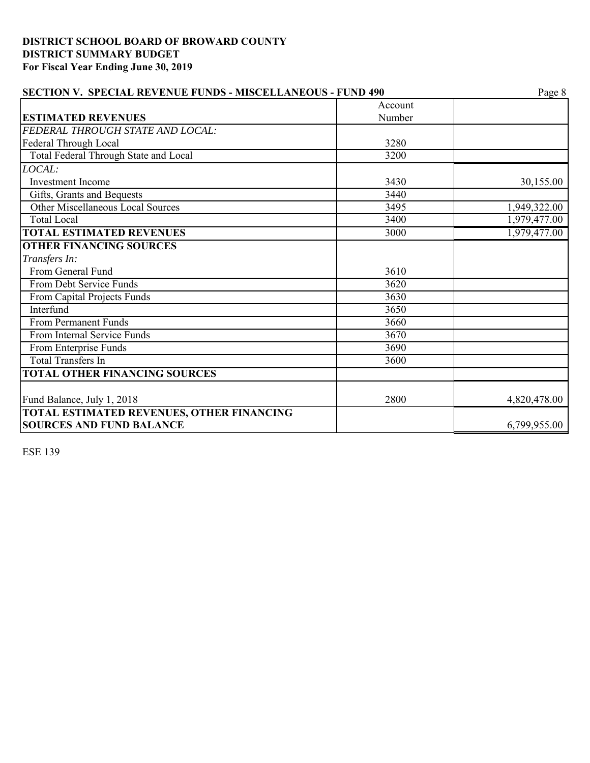| <b>SECTION V. SPECIAL REVENUE FUNDS - MISCELLANEOUS - FUND 490</b>           | Page 8  |              |
|------------------------------------------------------------------------------|---------|--------------|
|                                                                              | Account |              |
| <b>ESTIMATED REVENUES</b>                                                    | Number  |              |
| FEDERAL THROUGH STATE AND LOCAL:                                             |         |              |
| Federal Through Local                                                        | 3280    |              |
| Total Federal Through State and Local                                        | 3200    |              |
| LOCAL:                                                                       |         |              |
| <b>Investment Income</b>                                                     | 3430    | 30,155.00    |
| Gifts, Grants and Bequests                                                   | 3440    |              |
| <b>Other Miscellaneous Local Sources</b>                                     | 3495    | 1,949,322.00 |
| <b>Total Local</b>                                                           | 3400    | 1,979,477.00 |
| <b>TOTAL ESTIMATED REVENUES</b>                                              | 3000    | 1,979,477.00 |
| <b>OTHER FINANCING SOURCES</b>                                               |         |              |
| Transfers In:                                                                |         |              |
| From General Fund                                                            | 3610    |              |
| From Debt Service Funds                                                      | 3620    |              |
| From Capital Projects Funds                                                  | 3630    |              |
| Interfund                                                                    | 3650    |              |
| From Permanent Funds                                                         | 3660    |              |
| From Internal Service Funds                                                  | 3670    |              |
| From Enterprise Funds                                                        | 3690    |              |
| <b>Total Transfers In</b>                                                    | 3600    |              |
| <b>TOTAL OTHER FINANCING SOURCES</b>                                         |         |              |
| Fund Balance, July 1, 2018                                                   | 2800    | 4,820,478.00 |
| TOTAL ESTIMATED REVENUES, OTHER FINANCING<br><b>SOURCES AND FUND BALANCE</b> |         | 6,799,955.00 |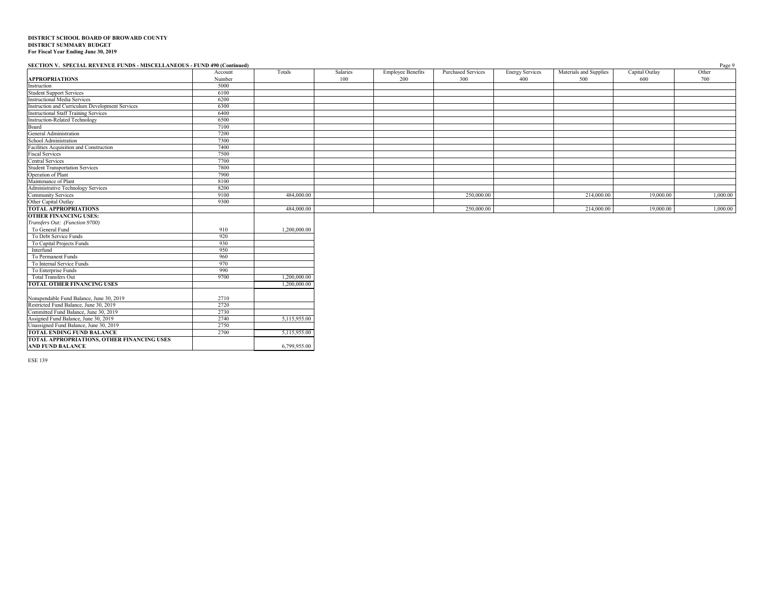#### **SECTION V. SPECIAL REVENUE FUNDS - MISCELLANEOUS - FUND 490 (Continued)** Page 9

|                                                                       | Account | Totals       | Salaries | <b>Employee Benefits</b> | <b>Purchased Services</b> | <b>Energy Services</b> | Materials and Supplies | Capital Outlay | Other    |
|-----------------------------------------------------------------------|---------|--------------|----------|--------------------------|---------------------------|------------------------|------------------------|----------------|----------|
| <b>APPROPRIATIONS</b>                                                 | Number  |              | 100      | 200                      | 300                       | 400                    | 500                    | 600            | 700      |
| Instruction                                                           | 5000    |              |          |                          |                           |                        |                        |                |          |
| <b>Student Support Services</b>                                       | 6100    |              |          |                          |                           |                        |                        |                |          |
| <b>Instructional Media Services</b>                                   | 6200    |              |          |                          |                           |                        |                        |                |          |
| Instruction and Curriculum Development Services                       | 6300    |              |          |                          |                           |                        |                        |                |          |
| <b>Instructional Staff Training Services</b>                          | 6400    |              |          |                          |                           |                        |                        |                |          |
| <b>Instruction-Related Technology</b>                                 | 6500    |              |          |                          |                           |                        |                        |                |          |
| Board                                                                 | 7100    |              |          |                          |                           |                        |                        |                |          |
| General Administration                                                | 7200    |              |          |                          |                           |                        |                        |                |          |
| School Administration                                                 | 7300    |              |          |                          |                           |                        |                        |                |          |
| Facilities Acquisition and Construction                               | 7400    |              |          |                          |                           |                        |                        |                |          |
| <b>Fiscal Services</b>                                                | 7500    |              |          |                          |                           |                        |                        |                |          |
| <b>Central Services</b>                                               | 7700    |              |          |                          |                           |                        |                        |                |          |
| <b>Student Transportation Services</b>                                | 7800    |              |          |                          |                           |                        |                        |                |          |
| Operation of Plant                                                    | 7900    |              |          |                          |                           |                        |                        |                |          |
| Maintenance of Plant                                                  | 8100    |              |          |                          |                           |                        |                        |                |          |
| Administrative Technology Services                                    | 8200    |              |          |                          |                           |                        |                        |                |          |
| <b>Community Services</b>                                             | 9100    | 484,000.00   |          |                          | 250,000.00                |                        | 214,000.00             | 19,000.00      | 1,000.00 |
| Other Capital Outlay                                                  | 9300    |              |          |                          |                           |                        |                        |                |          |
| <b>TOTAL APPROPRIATIONS</b>                                           |         | 484,000.00   |          |                          | 250,000.00                |                        | 214,000.00             | 19,000.00      | 1,000.00 |
| <b>OTHER FINANCING USES:</b>                                          |         |              |          |                          |                           |                        |                        |                |          |
| Transfers Out: (Function 9700)                                        |         |              |          |                          |                           |                        |                        |                |          |
| To General Fund                                                       | 910     | 1,200,000.00 |          |                          |                           |                        |                        |                |          |
| To Debt Service Funds                                                 | 920     |              |          |                          |                           |                        |                        |                |          |
| To Capital Projects Funds                                             | 930     |              |          |                          |                           |                        |                        |                |          |
| Interfund                                                             | 950     |              |          |                          |                           |                        |                        |                |          |
| To Permanent Funds                                                    | 960     |              |          |                          |                           |                        |                        |                |          |
| To Internal Service Funds                                             | 970     |              |          |                          |                           |                        |                        |                |          |
| To Enterprise Funds                                                   | 990     |              |          |                          |                           |                        |                        |                |          |
| <b>Total Transfers Out</b>                                            | 9700    | 1,200,000.00 |          |                          |                           |                        |                        |                |          |
| <b>TOTAL OTHER FINANCING USES</b>                                     |         | 1,200,000.00 |          |                          |                           |                        |                        |                |          |
|                                                                       |         |              |          |                          |                           |                        |                        |                |          |
| Nonspendable Fund Balance, June 30, 2019                              | 2710    |              |          |                          |                           |                        |                        |                |          |
| Restricted Fund Balance, June 30, 2019                                | 2720    |              |          |                          |                           |                        |                        |                |          |
| Committed Fund Balance, June 30, 2019                                 | 2730    |              |          |                          |                           |                        |                        |                |          |
| Assigned Fund Balance, June 30, 2019                                  | 2740    | 5,115,955.00 |          |                          |                           |                        |                        |                |          |
| Unassigned Fund Balance, June 30, 2019                                | 2750    |              |          |                          |                           |                        |                        |                |          |
| <b>TOTAL ENDING FUND BALANCE</b>                                      | 2700    | 5,115,955.00 |          |                          |                           |                        |                        |                |          |
| TOTAL APPROPRIATIONS, OTHER FINANCING USES<br><b>AND FUND BALANCE</b> |         | 6,799,955.00 |          |                          |                           |                        |                        |                |          |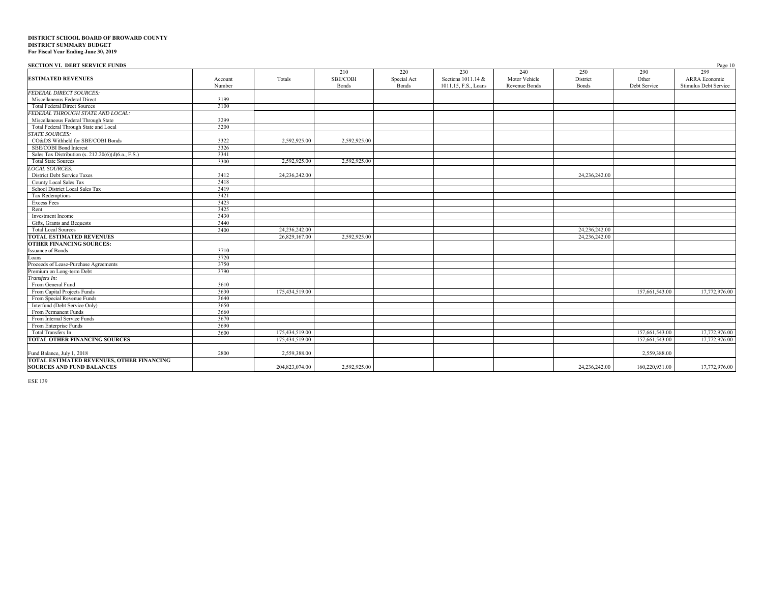| <b>SECTION VI. DEBT SERVICE FUNDS</b>              |         |                |              |             |                      |               |               |                | Page 10               |
|----------------------------------------------------|---------|----------------|--------------|-------------|----------------------|---------------|---------------|----------------|-----------------------|
|                                                    |         |                | 210          | 220         | 230                  | 240           | 250           | 290            | 299                   |
| <b>ESTIMATED REVENUES</b>                          | Account | Totals         | SBE/COBI     | Special Act | Sections 1011.14 &   | Motor Vehicle | District      | Other          | ARRA Economic         |
|                                                    | Number  |                | <b>Bonds</b> | Bonds       | 1011.15, F.S., Loans | Revenue Bonds | <b>Bonds</b>  | Debt Service   | Stimulus Debt Service |
| <b>FEDERAL DIRECT SOURCES:</b>                     |         |                |              |             |                      |               |               |                |                       |
| Miscellaneous Federal Direct                       | 3199    |                |              |             |                      |               |               |                |                       |
| <b>Total Federal Direct Sources</b>                | 3100    |                |              |             |                      |               |               |                |                       |
| FEDERAL THROUGH STATE AND LOCAL:                   |         |                |              |             |                      |               |               |                |                       |
| Miscellaneous Federal Through State                | 3299    |                |              |             |                      |               |               |                |                       |
| Total Federal Through State and Local              | 3200    |                |              |             |                      |               |               |                |                       |
| <b>STATE SOURCES:</b>                              |         |                |              |             |                      |               |               |                |                       |
| CO&DS Withheld for SBE/COBI Bonds                  | 3322    | 2,592,925.00   | 2,592,925.00 |             |                      |               |               |                |                       |
| SBE/COBI Bond Interest                             | 3326    |                |              |             |                      |               |               |                |                       |
| Sales Tax Distribution (s. 212.20(6)(d)6.a., F.S.) | 3341    |                |              |             |                      |               |               |                |                       |
| <b>Total State Sources</b>                         | 3300    | 2,592,925.00   | 2,592,925.00 |             |                      |               |               |                |                       |
| <b>LOCAL SOURCES:</b>                              |         |                |              |             |                      |               |               |                |                       |
| <b>District Debt Service Taxes</b>                 | 3412    | 24.236.242.00  |              |             |                      |               | 24,236,242.00 |                |                       |
| County Local Sales Tax                             | 3418    |                |              |             |                      |               |               |                |                       |
| School District Local Sales Tax                    | 3419    |                |              |             |                      |               |               |                |                       |
| <b>Tax Redemptions</b>                             | 3421    |                |              |             |                      |               |               |                |                       |
| <b>Excess Fees</b>                                 | 3423    |                |              |             |                      |               |               |                |                       |
| Rent                                               | 3425    |                |              |             |                      |               |               |                |                       |
| Investment Income                                  | 3430    |                |              |             |                      |               |               |                |                       |
| Gifts, Grants and Bequests                         | 3440    |                |              |             |                      |               |               |                |                       |
| <b>Total Local Sources</b>                         | 3400    | 24,236,242.00  |              |             |                      |               | 24,236,242.00 |                |                       |
| <b>TOTAL ESTIMATED REVENUES</b>                    |         | 26,829,167.00  | 2,592,925.00 |             |                      |               | 24,236,242.00 |                |                       |
| <b>OTHER FINANCING SOURCES:</b>                    |         |                |              |             |                      |               |               |                |                       |
| <b>Issuance of Bonds</b>                           | 3710    |                |              |             |                      |               |               |                |                       |
| Loans                                              | 3720    |                |              |             |                      |               |               |                |                       |
| Proceeds of Lease-Purchase Agreements              | 3750    |                |              |             |                      |               |               |                |                       |
| Premium on Long-term Debt                          | 3790    |                |              |             |                      |               |               |                |                       |
| Transfers In:                                      |         |                |              |             |                      |               |               |                |                       |
| From General Fund                                  | 3610    |                |              |             |                      |               |               |                |                       |
| From Capital Projects Funds                        | 3630    | 175,434,519.00 |              |             |                      |               |               | 157,661,543.00 | 17,772,976.00         |
| From Special Revenue Funds                         | 3640    |                |              |             |                      |               |               |                |                       |
| Interfund (Debt Service Only)                      | 3650    |                |              |             |                      |               |               |                |                       |
| From Permanent Funds                               | 3660    |                |              |             |                      |               |               |                |                       |
| From Internal Service Funds                        | 3670    |                |              |             |                      |               |               |                |                       |
| From Enterprise Funds                              | 3690    |                |              |             |                      |               |               |                |                       |
| Total Transfers In                                 | 3600    | 175,434,519.00 |              |             |                      |               |               | 157,661,543.00 | 17,772,976.00         |
| <b>TOTAL OTHER FINANCING SOURCES</b>               |         | 175,434,519.00 |              |             |                      |               |               | 157,661,543.00 | 17,772,976.00         |
|                                                    |         |                |              |             |                      |               |               |                |                       |
| Fund Balance, July 1, 2018                         | 2800    | 2,559,388.00   |              |             |                      |               |               | 2,559,388.00   |                       |
| TOTAL ESTIMATED REVENUES, OTHER FINANCING          |         |                |              |             |                      |               |               |                |                       |
| <b>SOURCES AND FUND BALANCES</b>                   |         | 204,823,074.00 | 2,592,925.00 |             |                      |               | 24,236,242.00 | 160,220,931.00 | 17,772,976.00         |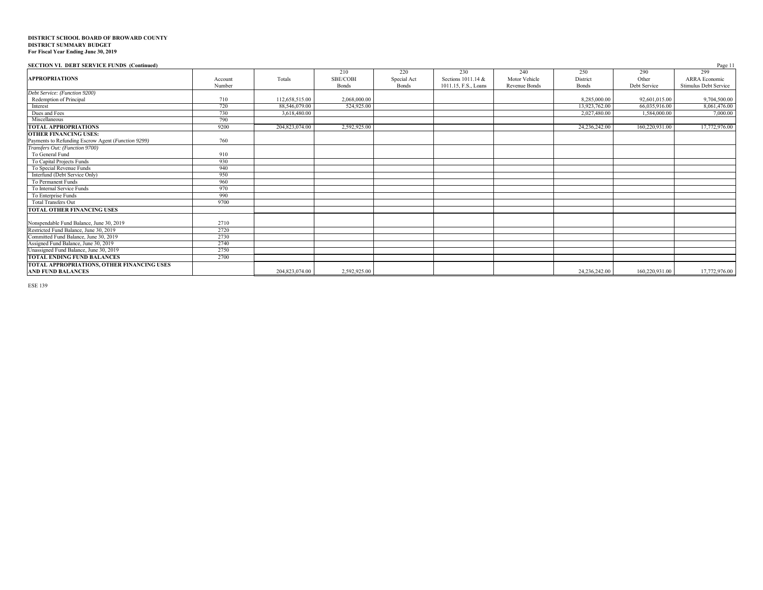| <b>SECTION VI. DEBT SERVICE FUNDS (Continued)</b>                              |                   |                |                                 |                                    |                                                   |                                       |                                 |                              | Page 11                                              |
|--------------------------------------------------------------------------------|-------------------|----------------|---------------------------------|------------------------------------|---------------------------------------------------|---------------------------------------|---------------------------------|------------------------------|------------------------------------------------------|
| <b>APPROPRIATIONS</b>                                                          | Account<br>Number | Totals         | 210<br>SBE/COBI<br><b>Bonds</b> | 220<br>Special Act<br><b>Bonds</b> | 230<br>Sections 1011.14 &<br>1011.15, F.S., Loans | 240<br>Motor Vehicle<br>Revenue Bonds | 250<br>District<br><b>Bonds</b> | 290<br>Other<br>Debt Service | 299<br><b>ARRA</b> Economic<br>Stimulus Debt Service |
| Debt Service: (Function 9200)                                                  |                   |                |                                 |                                    |                                                   |                                       |                                 |                              |                                                      |
| Redemption of Principal                                                        | 710               | 112,658,515.00 | 2,068,000.00                    |                                    |                                                   |                                       | 8,285,000.00                    | 92,601,015.00                | 9,704,500.00                                         |
| Interest                                                                       | 720               | 88,546,079.00  | 524,925.00                      |                                    |                                                   |                                       | 13,923,762.00                   | 66,035,916.00                | 8,061,476.00                                         |
| Dues and Fees                                                                  | 730               | 3,618,480.00   |                                 |                                    |                                                   |                                       | 2.027.480.00                    | 1,584,000.00                 | 7,000.00                                             |
| Miscellaneous                                                                  | 790               |                |                                 |                                    |                                                   |                                       |                                 |                              |                                                      |
| <b>TOTAL APPROPRIATIONS</b>                                                    | 9200              | 204,823,074.00 | 2,592,925.00                    |                                    |                                                   |                                       | 24,236,242.00                   | 160,220,931.00               | 17,772,976.00                                        |
| <b>OTHER FINANCING USES:</b>                                                   |                   |                |                                 |                                    |                                                   |                                       |                                 |                              |                                                      |
| Payments to Refunding Escrow Agent (Function 9299)                             | 760               |                |                                 |                                    |                                                   |                                       |                                 |                              |                                                      |
| Transfers Out: (Function 9700)                                                 |                   |                |                                 |                                    |                                                   |                                       |                                 |                              |                                                      |
| To General Fund                                                                | 910               |                |                                 |                                    |                                                   |                                       |                                 |                              |                                                      |
| To Capital Projects Funds                                                      | 930               |                |                                 |                                    |                                                   |                                       |                                 |                              |                                                      |
| To Special Revenue Funds                                                       | 940               |                |                                 |                                    |                                                   |                                       |                                 |                              |                                                      |
| Interfund (Debt Service Only)                                                  | 950               |                |                                 |                                    |                                                   |                                       |                                 |                              |                                                      |
| To Permanent Funds                                                             | 960               |                |                                 |                                    |                                                   |                                       |                                 |                              |                                                      |
| To Internal Service Funds                                                      | 970               |                |                                 |                                    |                                                   |                                       |                                 |                              |                                                      |
| To Enterprise Funds                                                            | 990               |                |                                 |                                    |                                                   |                                       |                                 |                              |                                                      |
| <b>Total Transfers Out</b>                                                     | 9700              |                |                                 |                                    |                                                   |                                       |                                 |                              |                                                      |
| <b>TOTAL OTHER FINANCING USES</b>                                              |                   |                |                                 |                                    |                                                   |                                       |                                 |                              |                                                      |
| Nonspendable Fund Balance, June 30, 2019                                       | 2710              |                |                                 |                                    |                                                   |                                       |                                 |                              |                                                      |
| Restricted Fund Balance, June 30, 2019                                         | 2720              |                |                                 |                                    |                                                   |                                       |                                 |                              |                                                      |
| Committed Fund Balance, June 30, 2019                                          | 2730              |                |                                 |                                    |                                                   |                                       |                                 |                              |                                                      |
| Assigned Fund Balance, June 30, 2019<br>Unassigned Fund Balance, June 30, 2019 | 2740              |                |                                 |                                    |                                                   |                                       |                                 |                              |                                                      |
|                                                                                | 2750              |                |                                 |                                    |                                                   |                                       |                                 |                              |                                                      |
| <b>TOTAL ENDING FUND BALANCES</b>                                              | 2700              |                |                                 |                                    |                                                   |                                       |                                 |                              |                                                      |
| TOTAL APPROPRIATIONS, OTHER FINANCING USES                                     |                   |                |                                 |                                    |                                                   |                                       |                                 |                              |                                                      |
| <b>AND FUND BALANCES</b>                                                       |                   | 204,823,074.00 | 2,592,925.00                    |                                    |                                                   |                                       | 24,236,242.00                   | 160,220,931.00               | 17,772,976.00                                        |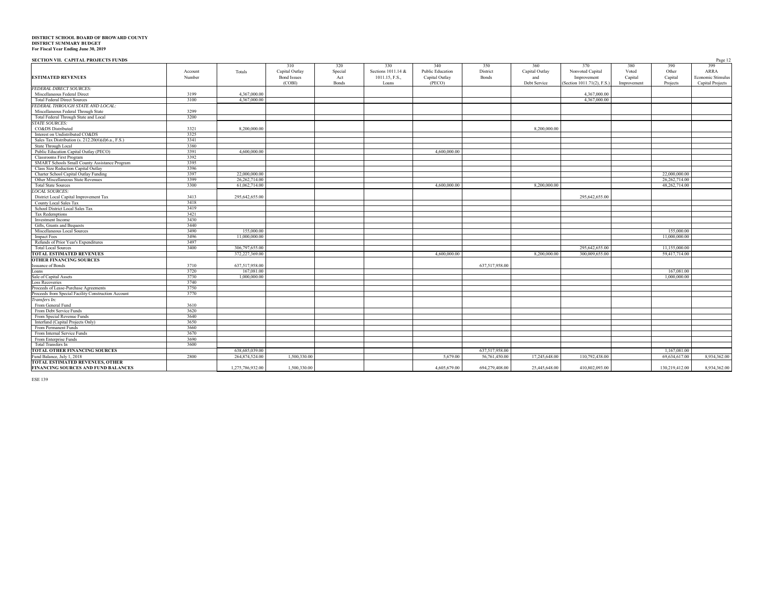| <b>CROTION VII CLIMBLE BROJECTS BUNDS</b> |  |  |
|-------------------------------------------|--|--|

| <b>SECTION VII. CAPITAL PROJECTS FUNDS</b>          |              |                  |                    |         |                    |                         |                |                |                           |             |                | Page 12                 |
|-----------------------------------------------------|--------------|------------------|--------------------|---------|--------------------|-------------------------|----------------|----------------|---------------------------|-------------|----------------|-------------------------|
|                                                     |              |                  | 310                | 320     | 330                | 340                     | 350            | 360            | 370                       | 380         | 390            | 399                     |
|                                                     | Account      | Totals           | Capital Outlay     | Special | Sections 1011.14 & | <b>Public Education</b> | District       | Capital Outlay | Nonvoted Capital          | Voted       | Other          | ARRA                    |
| <b>ESTIMATED REVENUES</b>                           | Number       |                  | <b>Bond Issues</b> | Act     | 1011.15, F.S.,     | Capital Outlay          | Bonds          | and            | Improvement               | Capital     | Capital        | Economic Stimulus       |
|                                                     |              |                  | (COBI)             | Bonds   | Loans              | (PECO)                  |                | Debt Service   | Section 1011.71(2), F.S.) | Improvement | Projects       | <b>Capital Projects</b> |
| <b>FEDERAL DIRECT SOURCES.</b>                      |              |                  |                    |         |                    |                         |                |                |                           |             |                |                         |
| Miscellaneous Federal Direct                        | 3199         | 4,367,000.00     |                    |         |                    |                         |                |                | 4,367,000.00              |             |                |                         |
| <b>Total Federal Direct Sources</b>                 | 3100         | 4,367,000.00     |                    |         |                    |                         |                |                | 4.367,000.00              |             |                |                         |
| FEDERAL THROUGH STATE AND LOCAL:                    |              |                  |                    |         |                    |                         |                |                |                           |             |                |                         |
| Miscellaneous Federal Through State                 | 3299         |                  |                    |         |                    |                         |                |                |                           |             |                |                         |
| Total Federal Through State and Local               | 3200         |                  |                    |         |                    |                         |                |                |                           |             |                |                         |
| <b>STATE SOURCES:</b>                               |              |                  |                    |         |                    |                         |                |                |                           |             |                |                         |
| CO&DS Distributed                                   | 3321         | 8,200,000,00     |                    |         |                    |                         |                | 8.200,000.00   |                           |             |                |                         |
| Interest on Undistributed CO&DS                     | 3325         |                  |                    |         |                    |                         |                |                |                           |             |                |                         |
| Sales Tax Distribution (s. 212.20(6)(d)6.a., F.S.)  | 3341         |                  |                    |         |                    |                         |                |                |                           |             |                |                         |
| State Through Local                                 | 3380         |                  |                    |         |                    |                         |                |                |                           |             |                |                         |
| Public Education Capital Outlay (PECO)              | 3391         | 4,600,000,00     |                    |         |                    | 4,600,000.00            |                |                |                           |             |                |                         |
| <b>Classrooms First Program</b>                     | 3392         |                  |                    |         |                    |                         |                |                |                           |             |                |                         |
| SMART Schools Small County Assistance Program       | 3395         |                  |                    |         |                    |                         |                |                |                           |             |                |                         |
| Class Size Reduction Capital Outlay                 | 3396         |                  |                    |         |                    |                         |                |                |                           |             |                |                         |
| Charter School Capital Outlay Funding               | 3397         | 22,000,000,00    |                    |         |                    |                         |                |                |                           |             | 22.000.000.00  |                         |
| Other Miscellaneous State Revenues                  | 3399         | 26,262,714.00    |                    |         |                    |                         |                |                |                           |             | 26,262,714.00  |                         |
| <b>Total State Sources</b>                          | 3300         | 61,062,714.00    |                    |         |                    | 4,600,000.00            |                | 8,200,000.00   |                           |             | 48,262,714.00  |                         |
| <b>LOCAL SOURCES:</b>                               |              |                  |                    |         |                    |                         |                |                |                           |             |                |                         |
| District Local Capital Improvement Tax              | 3413         | 295,642,655.00   |                    |         |                    |                         |                |                | 295,642,655.00            |             |                |                         |
| County Local Sales Tax                              | 3418         |                  |                    |         |                    |                         |                |                |                           |             |                |                         |
| School District Local Sales Tax                     | 3419         |                  |                    |         |                    |                         |                |                |                           |             |                |                         |
| Tax Redemptions                                     | 3421         |                  |                    |         |                    |                         |                |                |                           |             |                |                         |
| <b>Investment Income</b>                            | 3430         |                  |                    |         |                    |                         |                |                |                           |             |                |                         |
| Gifts, Grants and Bequests                          | 3440         |                  |                    |         |                    |                         |                |                |                           |             |                |                         |
| Miscellaneous Local Sources                         | 3490         | 155,000.00       |                    |         |                    |                         |                |                |                           |             | 155,000.00     |                         |
| <b>Impact Fees</b>                                  | 3496         | 11.000.000.00    |                    |         |                    |                         |                |                |                           |             | 11,000,000,00  |                         |
| Refunds of Prior Year's Expenditures                | 3497         |                  |                    |         |                    |                         |                |                |                           |             |                |                         |
| <b>Total Local Sources</b>                          | 3400         | 306,797,655.00   |                    |         |                    |                         |                |                | 295,642,655.00            |             | 11,155,000.00  |                         |
| <b>TOTAL ESTIMATED REVENUES</b>                     |              | 372,227,369.00   |                    |         |                    | 4,600,000.00            |                | 8,200,000.00   | 300,009,655.00            |             | 59,417,714.00  |                         |
| <b>OTHER FINANCING SOURCES</b>                      |              |                  |                    |         |                    |                         |                |                |                           |             |                |                         |
| <b>Issuance of Bonds</b>                            | 3710         | 637,517,958.00   |                    |         |                    |                         | 637,517,958.00 |                |                           |             |                |                         |
| Loans                                               | 3720         | 167,081.00       |                    |         |                    |                         |                |                |                           |             | 167,081.00     |                         |
| Sale of Capital Assets                              | 3730         | 1,000,000.00     |                    |         |                    |                         |                |                |                           |             | 1,000,000.00   |                         |
| <b>Loss Recoveries</b>                              | 3740<br>3750 |                  |                    |         |                    |                         |                |                |                           |             |                |                         |
| Proceeds of Lease-Purchase Agreements               |              |                  |                    |         |                    |                         |                |                |                           |             |                |                         |
| Proceeds from Special Facility Construction Account | 3770         |                  |                    |         |                    |                         |                |                |                           |             |                |                         |
| Transfers In:<br>From General Fund                  | 3610         |                  |                    |         |                    |                         |                |                |                           |             |                |                         |
| From Debt Service Funds                             | 3620         |                  |                    |         |                    |                         |                |                |                           |             |                |                         |
| From Special Revenue Funds                          | 3640         |                  |                    |         |                    |                         |                |                |                           |             |                |                         |
| Interfund (Capital Projects Only)                   | 3650         |                  |                    |         |                    |                         |                |                |                           |             |                |                         |
| From Permanent Funds                                | 3660         |                  |                    |         |                    |                         |                |                |                           |             |                |                         |
| From Internal Service Funds                         | 3670         |                  |                    |         |                    |                         |                |                |                           |             |                |                         |
| From Enterprise Funds                               | 3690         |                  |                    |         |                    |                         |                |                |                           |             |                |                         |
| Total Transfers In                                  | 3600         |                  |                    |         |                    |                         |                |                |                           |             |                |                         |
| <b>TOTAL OTHER FINANCING SOURCES</b>                |              | 638,685,039.00   |                    |         |                    |                         | 637,517,958.00 |                |                           |             | 1.167.081.00   |                         |
| Fund Balance, July 1, 2018                          | 2800         |                  |                    |         |                    | 5,679.00                |                |                |                           |             | 69,634,617.00  | 8,934,362.00            |
| <b>TOTAL ESTIMATED REVENUES, OTHER</b>              |              | 264,874,524.00   | 1,500,330.00       |         |                    |                         | 56,761,450.00  | 17,245,648.00  | 110,792,438.00            |             |                |                         |
| FINANCING SOURCES AND FUND BALANCES                 |              | 1,275,786,932.00 | 1,500,330.00       |         |                    | 4,605,679.00            | 694.279.408.00 | 25,445,648.00  | 410,802,093.00            |             | 130,219,412.00 | 8.934.362.00            |
|                                                     |              |                  |                    |         |                    |                         |                |                |                           |             |                |                         |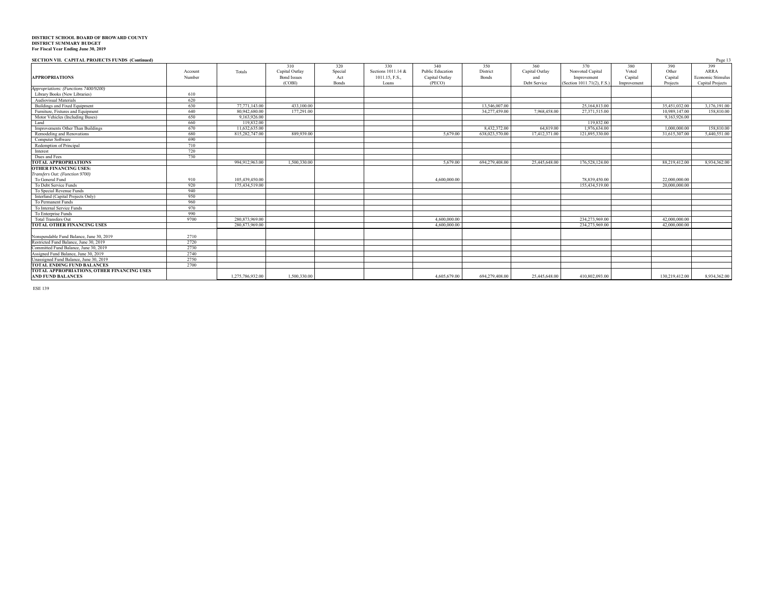#### **SECTION VII. CAPITAL PROJECTS FUNDS (Continued)** Page 13

|                                            |         |                  |                    |         |                    |                         |                |                |                            |             |                | 1.4 <sub>7</sub> < 1.7 |
|--------------------------------------------|---------|------------------|--------------------|---------|--------------------|-------------------------|----------------|----------------|----------------------------|-------------|----------------|------------------------|
|                                            |         |                  | 310                | 320     | 330                | 340                     | 350            | 360            | 370                        | 380         | 390            | 399                    |
|                                            | Account | Totals           | Capital Outlay     | Special | Sections 1011.14 & | <b>Public Education</b> | District       | Capital Outlay | Nonvoted Capital           | Voted       | Other          | <b>ARRA</b>            |
| <b>APPROPRIATIONS</b>                      | Number  |                  | <b>Bond Issues</b> | Act     | 1011.15, F.S.,     | Capital Outlav          | Bonds          | and            | Improvement                | Capital     | Capital        | Economic Stimulus      |
|                                            |         |                  | (COBD)             | Bonds   | Loans              | (PECO)                  |                | Debt Service   | (Section 1011.71(2), F.S.) | Improvement | Projects       | Capital Projects       |
| Appropriations: (Functions 7400/9200)      |         |                  |                    |         |                    |                         |                |                |                            |             |                |                        |
| Library Books (New Libraries)              | 610     |                  |                    |         |                    |                         |                |                |                            |             |                |                        |
| <b>Audiovisual Materials</b>               | 620     |                  |                    |         |                    |                         |                |                |                            |             |                |                        |
| Buildings and Fixed Equipment              | 630     | 77,771,143,00    | 433,100.00         |         |                    |                         | 13,546,007.00  |                | 25,164,813.00              |             | 35,451,032.00  | 3,176,191.00           |
| Furniture, Fixtures and Equipment          | 640     | 80,942,680.00    | 177,291.00         |         |                    |                         | 34,277,459.00  | 7,968,458.00   | 27,371,515.00              |             | 10.989.147.00  | 158,810.00             |
| Motor Vehicles (Including Buses)           | 650     | 9,163,926.00     |                    |         |                    |                         |                |                |                            |             | 9,163,926.00   |                        |
| Land                                       | 660     | 119,832.00       |                    |         |                    |                         |                |                | 119,832.00                 |             |                |                        |
| Improvements Other Than Buildings          | 670     | 11.632,635.00    |                    |         |                    |                         | 8.432,372.00   | 64,819.00      | 1,976,634.00               |             | 1,000,000.00   | 158,810.00             |
| Remodeling and Renovations                 | 680     | 815,282,747.00   | 889,939.00         |         |                    | 5,679.00                | 638,023,570.00 | 17,412,371.00  | 121,895,330.00             |             | 31,615,307.00  | 5,440,551.00           |
| Computer Software                          | 690     |                  |                    |         |                    |                         |                |                |                            |             |                |                        |
| Redemption of Principal                    | 710     |                  |                    |         |                    |                         |                |                |                            |             |                |                        |
| Interest                                   | 720     |                  |                    |         |                    |                         |                |                |                            |             |                |                        |
| Dues and Fees                              | 730     |                  |                    |         |                    |                         |                |                |                            |             |                |                        |
| <b>TOTAL APPROPRIATIONS</b>                |         | 994,912,963.00   | 1.500.330.00       |         |                    | 5.679.00                | 694,279,408.00 | 25,445,648.00  | 176,528,124.00             |             | 88.219.412.00  | 8,934,362.00           |
| <b>OTHER FINANCING USES:</b>               |         |                  |                    |         |                    |                         |                |                |                            |             |                |                        |
| Transfers Out: (Function 9700)             |         |                  |                    |         |                    |                         |                |                |                            |             |                |                        |
| To General Fund                            | 910     | 105,439,450.00   |                    |         |                    | 4,600,000.00            |                |                | 78,839,450.00              |             | 22.000.000.00  |                        |
| To Debt Service Funds                      | 920     | 175,434,519.00   |                    |         |                    |                         |                |                | 155,434,519.00             |             | 20,000,000.00  |                        |
| To Special Revenue Funds                   | 940     |                  |                    |         |                    |                         |                |                |                            |             |                |                        |
| Interfund (Capital Projects Only)          | 950     |                  |                    |         |                    |                         |                |                |                            |             |                |                        |
| To Permanent Funds                         | 960     |                  |                    |         |                    |                         |                |                |                            |             |                |                        |
| To Internal Service Funds                  | 970     |                  |                    |         |                    |                         |                |                |                            |             |                |                        |
| To Enterprise Funds                        | 990     |                  |                    |         |                    |                         |                |                |                            |             |                |                        |
| <b>Total Transfers Out</b>                 | 9700    | 280,873,969.00   |                    |         |                    | 4,600,000.00            |                |                | 234,273,969.00             |             | 42,000,000.00  |                        |
| <b>TOTAL OTHER FINANCING USES</b>          |         | 280,873,969.00   |                    |         |                    | 4,600,000.00            |                |                | 234,273,969.00             |             | 42,000,000.00  |                        |
|                                            |         |                  |                    |         |                    |                         |                |                |                            |             |                |                        |
| Nonspendable Fund Balance, June 30, 2019   | 2710    |                  |                    |         |                    |                         |                |                |                            |             |                |                        |
| Restricted Fund Balance, June 30, 2019     | 2720    |                  |                    |         |                    |                         |                |                |                            |             |                |                        |
| Committed Fund Balance, June 30, 2019      | 2730    |                  |                    |         |                    |                         |                |                |                            |             |                |                        |
| Assigned Fund Balance, June 30, 2019       | 2740    |                  |                    |         |                    |                         |                |                |                            |             |                |                        |
| Unassigned Fund Balance, June 30, 2019     | 2750    |                  |                    |         |                    |                         |                |                |                            |             |                |                        |
| <b>TOTAL ENDING FUND BALANCES</b>          | 2700    |                  |                    |         |                    |                         |                |                |                            |             |                |                        |
| TOTAL APPROPRIATIONS, OTHER FINANCING USES |         |                  |                    |         |                    |                         |                |                |                            |             |                |                        |
| <b>AND FUND BALANCES</b>                   |         | 1.275.786.932.00 | 1,500,330.00       |         |                    | 4,605,679.00            | 694.279.408.00 | 25,445,648.00  | 410,802,093.00             |             | 130,219,412.00 | 8,934,362.00           |
|                                            |         |                  |                    |         |                    |                         |                |                |                            |             |                |                        |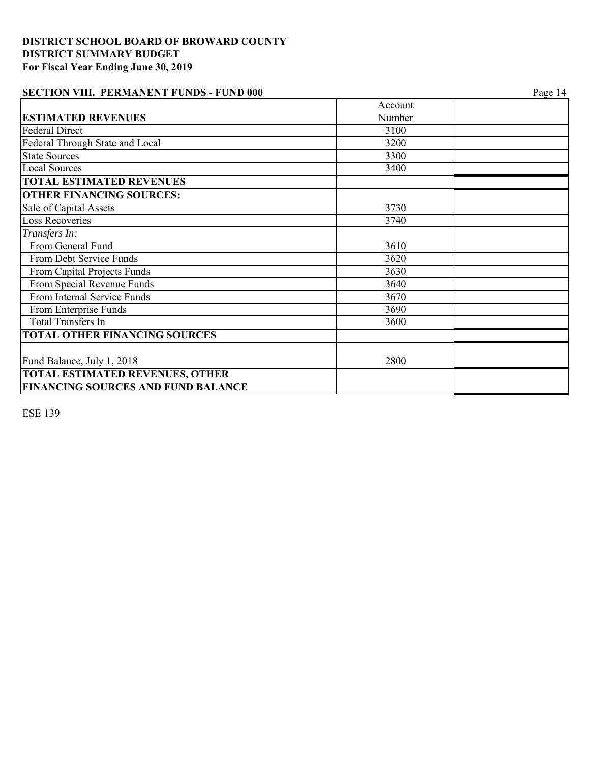# **SECTION VIII. PERMANENT FUNDS - FUND 000** Page 14

|                                                                                     | Account |  |
|-------------------------------------------------------------------------------------|---------|--|
| <b>ESTIMATED REVENUES</b>                                                           | Number  |  |
| <b>Federal Direct</b>                                                               | 3100    |  |
| Federal Through State and Local                                                     | 3200    |  |
| <b>State Sources</b>                                                                | 3300    |  |
| <b>Local Sources</b>                                                                | 3400    |  |
| <b>TOTAL ESTIMATED REVENUES</b>                                                     |         |  |
| <b>OTHER FINANCING SOURCES:</b>                                                     |         |  |
| Sale of Capital Assets                                                              | 3730    |  |
| <b>Loss Recoveries</b>                                                              | 3740    |  |
| Transfers In:                                                                       |         |  |
| From General Fund                                                                   | 3610    |  |
| From Debt Service Funds                                                             | 3620    |  |
| From Capital Projects Funds                                                         | 3630    |  |
| From Special Revenue Funds                                                          | 3640    |  |
| From Internal Service Funds                                                         | 3670    |  |
| From Enterprise Funds                                                               | 3690    |  |
| <b>Total Transfers In</b>                                                           | 3600    |  |
| <b>TOTAL OTHER FINANCING SOURCES</b>                                                |         |  |
| Fund Balance, July 1, 2018                                                          | 2800    |  |
| <b>TOTAL ESTIMATED REVENUES, OTHER</b><br><b>FINANCING SOURCES AND FUND BALANCE</b> |         |  |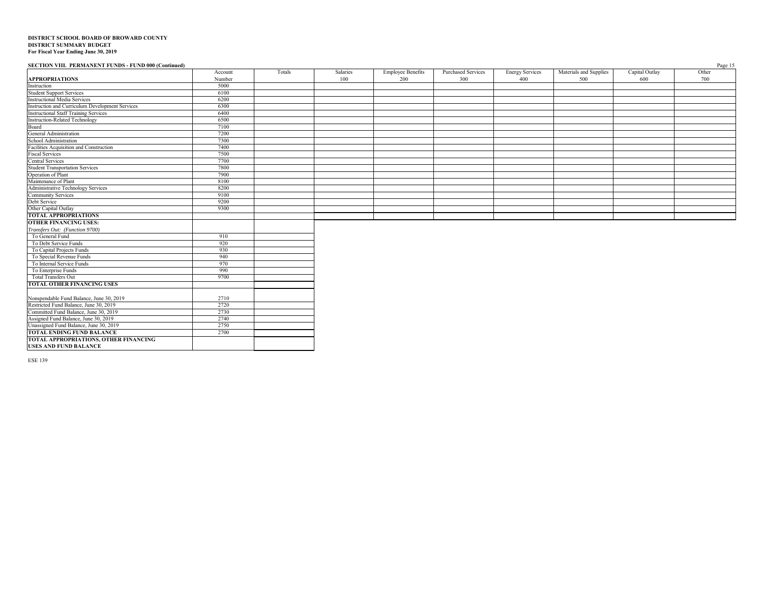#### **SECTION VIII. PERMANENT FUNDS - FUND 000 (Continued)** Page 15

|                                                                       | Account | Totals | Salaries | <b>Employee Benefits</b> | <b>Purchased Services</b> | <b>Energy Services</b> | Materials and Supplies | Capital Outlay | Other |
|-----------------------------------------------------------------------|---------|--------|----------|--------------------------|---------------------------|------------------------|------------------------|----------------|-------|
| <b>APPROPRIATIONS</b>                                                 | Number  |        | 100      | 200                      | 300                       | 400                    | 500                    | 600            | 700   |
| Instruction                                                           | 5000    |        |          |                          |                           |                        |                        |                |       |
| <b>Student Support Services</b>                                       | 6100    |        |          |                          |                           |                        |                        |                |       |
| <b>Instructional Media Services</b>                                   | 6200    |        |          |                          |                           |                        |                        |                |       |
| Instruction and Curriculum Development Services                       | 6300    |        |          |                          |                           |                        |                        |                |       |
| <b>Instructional Staff Training Services</b>                          | 6400    |        |          |                          |                           |                        |                        |                |       |
| <b>Instruction-Related Technology</b>                                 | 6500    |        |          |                          |                           |                        |                        |                |       |
| Board                                                                 | 7100    |        |          |                          |                           |                        |                        |                |       |
| General Administration                                                | 7200    |        |          |                          |                           |                        |                        |                |       |
| School Administration                                                 | 7300    |        |          |                          |                           |                        |                        |                |       |
| Facilities Acquisition and Construction                               | 7400    |        |          |                          |                           |                        |                        |                |       |
| <b>Fiscal Services</b>                                                | 7500    |        |          |                          |                           |                        |                        |                |       |
| <b>Central Services</b>                                               | 7700    |        |          |                          |                           |                        |                        |                |       |
| <b>Student Transportation Services</b>                                | 7800    |        |          |                          |                           |                        |                        |                |       |
| Operation of Plant                                                    | 7900    |        |          |                          |                           |                        |                        |                |       |
| Maintenance of Plant                                                  | 8100    |        |          |                          |                           |                        |                        |                |       |
| Administrative Technology Services                                    | 8200    |        |          |                          |                           |                        |                        |                |       |
| <b>Community Services</b>                                             | 9100    |        |          |                          |                           |                        |                        |                |       |
| Debt Service                                                          | 9200    |        |          |                          |                           |                        |                        |                |       |
| Other Capital Outlay                                                  | 9300    |        |          |                          |                           |                        |                        |                |       |
| <b>TOTAL APPROPRIATIONS</b>                                           |         |        |          |                          |                           |                        |                        |                |       |
| <b>OTHER FINANCING USES:</b>                                          |         |        |          |                          |                           |                        |                        |                |       |
| Transfers Out: (Function 9700)                                        |         |        |          |                          |                           |                        |                        |                |       |
| To General Fund                                                       | 910     |        |          |                          |                           |                        |                        |                |       |
| To Debt Service Funds                                                 | 920     |        |          |                          |                           |                        |                        |                |       |
| To Capital Projects Funds                                             | 930     |        |          |                          |                           |                        |                        |                |       |
| To Special Revenue Funds                                              | 940     |        |          |                          |                           |                        |                        |                |       |
| To Internal Service Funds                                             | 970     |        |          |                          |                           |                        |                        |                |       |
| To Enterprise Funds                                                   | 990     |        |          |                          |                           |                        |                        |                |       |
| <b>Total Transfers Out</b>                                            | 9700    |        |          |                          |                           |                        |                        |                |       |
| <b>TOTAL OTHER FINANCING USES</b>                                     |         |        |          |                          |                           |                        |                        |                |       |
|                                                                       |         |        |          |                          |                           |                        |                        |                |       |
| Nonspendable Fund Balance, June 30, 2019                              | 2710    |        |          |                          |                           |                        |                        |                |       |
| Restricted Fund Balance, June 30, 2019                                | 2720    |        |          |                          |                           |                        |                        |                |       |
| Committed Fund Balance, June 30, 2019                                 | 2730    |        |          |                          |                           |                        |                        |                |       |
| Assigned Fund Balance, June 30, 2019                                  | 2740    |        |          |                          |                           |                        |                        |                |       |
| Unassigned Fund Balance, June 30, 2019                                | 2750    |        |          |                          |                           |                        |                        |                |       |
| <b>TOTAL ENDING FUND BALANCE</b>                                      | 2700    |        |          |                          |                           |                        |                        |                |       |
| TOTAL APPROPRIATIONS, OTHER FINANCING<br><b>USES AND FUND BALANCE</b> |         |        |          |                          |                           |                        |                        |                |       |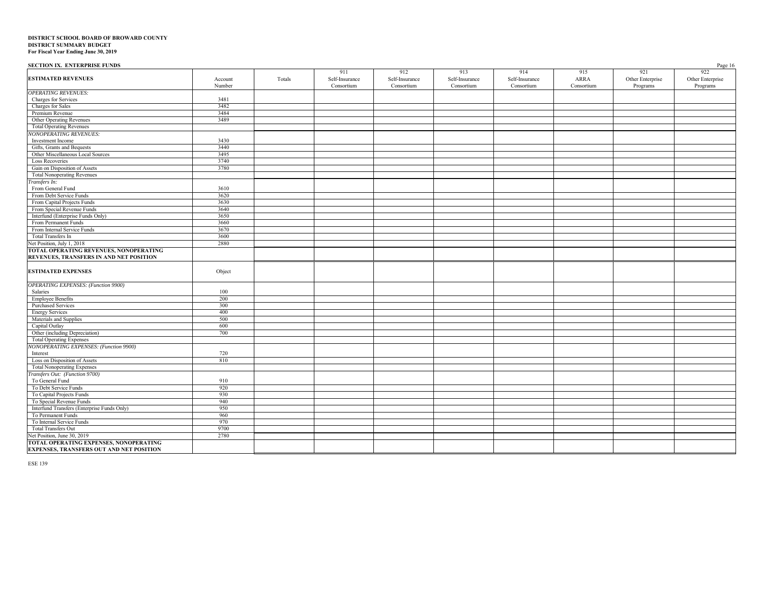| <b>SECTION IX. ENTERPRISE FUNDS</b>           |         |        |                |                |                |                |            |                  | Page 16          |
|-----------------------------------------------|---------|--------|----------------|----------------|----------------|----------------|------------|------------------|------------------|
|                                               |         |        | 911            | 912            | 913            | 914            | 915        | 921              | 922              |
| <b>ESTIMATED REVENUES</b>                     | Account | Totals | Self-Insurance | Self-Insurance | Self-Insurance | Self-Insurance | ARRA       | Other Enterprise | Other Enterprise |
|                                               | Number  |        | Consortium     | Consortium     | Consortium     | Consortium     | Consortium | Programs         | Programs         |
| <b>OPERATING REVENUES:</b>                    |         |        |                |                |                |                |            |                  |                  |
| Charges for Services                          | 3481    |        |                |                |                |                |            |                  |                  |
| Charges for Sales                             | 3482    |        |                |                |                |                |            |                  |                  |
| Premium Revenue                               | 3484    |        |                |                |                |                |            |                  |                  |
| Other Operating Revenues                      | 3489    |        |                |                |                |                |            |                  |                  |
| <b>Total Operating Revenues</b>               |         |        |                |                |                |                |            |                  |                  |
| <b>NONOPERATING REVENUES:</b>                 |         |        |                |                |                |                |            |                  |                  |
| Investment Income                             | 3430    |        |                |                |                |                |            |                  |                  |
| Gifts, Grants and Bequests                    | 3440    |        |                |                |                |                |            |                  |                  |
| Other Miscellaneous Local Sources             | 3495    |        |                |                |                |                |            |                  |                  |
| <b>Loss Recoveries</b>                        | 3740    |        |                |                |                |                |            |                  |                  |
| Gain on Disposition of Assets                 | 3780    |        |                |                |                |                |            |                  |                  |
| <b>Total Nonoperating Revenues</b>            |         |        |                |                |                |                |            |                  |                  |
|                                               |         |        |                |                |                |                |            |                  |                  |
| Transfers In:                                 |         |        |                |                |                |                |            |                  |                  |
| From General Fund                             | 3610    |        |                |                |                |                |            |                  |                  |
| From Debt Service Funds                       | 3620    |        |                |                |                |                |            |                  |                  |
| From Capital Projects Funds                   | 3630    |        |                |                |                |                |            |                  |                  |
| From Special Revenue Funds                    | 3640    |        |                |                |                |                |            |                  |                  |
| Interfund (Enterprise Funds Only)             | 3650    |        |                |                |                |                |            |                  |                  |
| From Permanent Funds                          | 3660    |        |                |                |                |                |            |                  |                  |
| From Internal Service Funds                   | 3670    |        |                |                |                |                |            |                  |                  |
| Total Transfers In                            | 3600    |        |                |                |                |                |            |                  |                  |
| Net Position, July 1, 2018                    | 2880    |        |                |                |                |                |            |                  |                  |
| TOTAL OPERATING REVENUES, NONOPERATING        |         |        |                |                |                |                |            |                  |                  |
| REVENUES, TRANSFERS IN AND NET POSITION       |         |        |                |                |                |                |            |                  |                  |
|                                               |         |        |                |                |                |                |            |                  |                  |
| <b>ESTIMATED EXPENSES</b>                     | Object  |        |                |                |                |                |            |                  |                  |
|                                               |         |        |                |                |                |                |            |                  |                  |
| <b>OPERATING EXPENSES:</b> (Function 9900)    |         |        |                |                |                |                |            |                  |                  |
| Salaries                                      | 100     |        |                |                |                |                |            |                  |                  |
| <b>Employee Benefits</b>                      | 200     |        |                |                |                |                |            |                  |                  |
| <b>Purchased Services</b>                     | 300     |        |                |                |                |                |            |                  |                  |
| <b>Energy Services</b>                        | 400     |        |                |                |                |                |            |                  |                  |
| Materials and Supplies                        | 500     |        |                |                |                |                |            |                  |                  |
| Capital Outlay                                | 600     |        |                |                |                |                |            |                  |                  |
| Other (including Depreciation)                | 700     |        |                |                |                |                |            |                  |                  |
| <b>Total Operating Expenses</b>               |         |        |                |                |                |                |            |                  |                  |
| <b>NONOPERATING EXPENSES: (Function 9900)</b> |         |        |                |                |                |                |            |                  |                  |
| Interest                                      | 720     |        |                |                |                |                |            |                  |                  |
|                                               | 810     |        |                |                |                |                |            |                  |                  |
| Loss on Disposition of Assets                 |         |        |                |                |                |                |            |                  |                  |
| <b>Total Nonoperating Expenses</b>            |         |        |                |                |                |                |            |                  |                  |
| Transfers Out: (Function 9700)                |         |        |                |                |                |                |            |                  |                  |
| To General Fund                               | 910     |        |                |                |                |                |            |                  |                  |
| To Debt Service Funds                         | 920     |        |                |                |                |                |            |                  |                  |
| To Capital Projects Funds                     | 930     |        |                |                |                |                |            |                  |                  |
| To Special Revenue Funds                      | 940     |        |                |                |                |                |            |                  |                  |
| Interfund Transfers (Enterprise Funds Only)   | 950     |        |                |                |                |                |            |                  |                  |
| To Permanent Funds                            | 960     |        |                |                |                |                |            |                  |                  |
| To Internal Service Funds                     | 970     |        |                |                |                |                |            |                  |                  |
| <b>Total Transfers Out</b>                    | 9700    |        |                |                |                |                |            |                  |                  |
| Net Position, June 30, 2019                   | 2780    |        |                |                |                |                |            |                  |                  |
| TOTAL OPERATING EXPENSES, NONOPERATING        |         |        |                |                |                |                |            |                  |                  |
| EXPENSES, TRANSFERS OUT AND NET POSITION      |         |        |                |                |                |                |            |                  |                  |